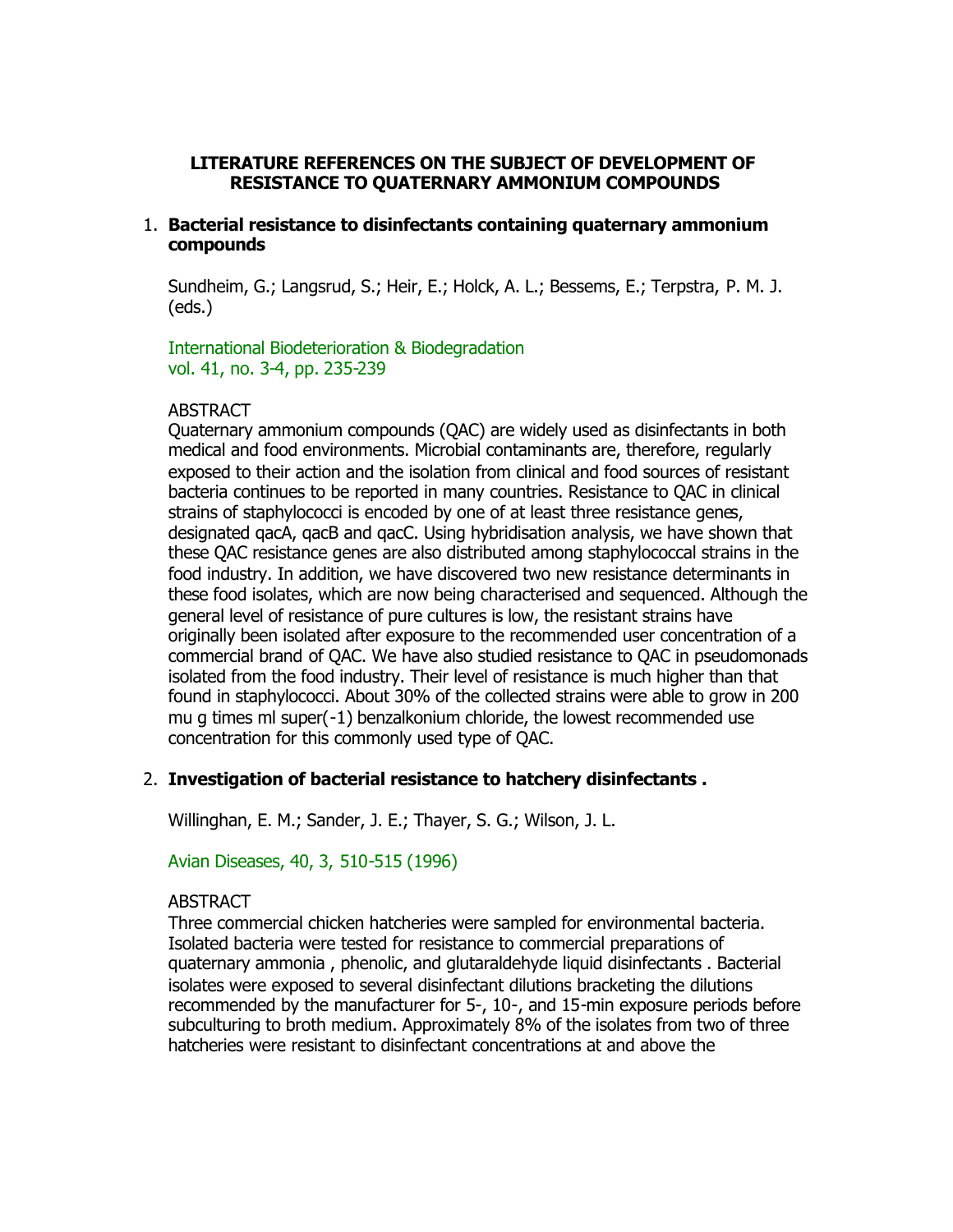# **LITERATURE REFERENCES ON THE SUBJECT OF DEVELOPMENT OF RESISTANCE TO QUATERNARY AMMONIUM COMPOUNDS**

# 1. **Bacterial resistance to disinfectants containing quaternary ammonium compounds**

Sundheim, G.; Langsrud, S.; Heir, E.; Holck, A. L.; Bessems, E.; Terpstra, P. M. J. (eds.)

International Biodeterioration & Biodegradation vol. 41, no. 3-4, pp. 235-239

### ABSTRACT

Quaternary ammonium compounds (QAC) are widely used as disinfectants in both medical and food environments. Microbial contaminants are, therefore, regularly exposed to their action and the isolation from clinical and food sources of resistant bacteria continues to be reported in many countries. Resistance to QAC in clinical strains of staphylococci is encoded by one of at least three resistance genes, designated qacA, qacB and qacC. Using hybridisation analysis, we have shown that these QAC resistance genes are also distributed among staphylococcal strains in the food industry. In addition, we have discovered two new resistance determinants in these food isolates, which are now being characterised and sequenced. Although the general level of resistance of pure cultures is low, the resistant strains have originally been isolated after exposure to the recommended user concentration of a commercial brand of QAC. We have also studied resistance to QAC in pseudomonads isolated from the food industry. Their level of resistance is much higher than that found in staphylococci. About 30% of the collected strains were able to grow in 200 mu g times ml super(-1) benzalkonium chloride, the lowest recommended use concentration for this commonly used type of QAC.

# 2. **Investigation of bacterial resistance to hatchery disinfectants .**

Willinghan, E. M.; Sander, J. E.; Thayer, S. G.; Wilson, J. L.

Avian Diseases, 40, 3, 510-515 (1996)

# **ABSTRACT**

Three commercial chicken hatcheries were sampled for environmental bacteria. Isolated bacteria were tested for resistance to commercial preparations of quaternary ammonia , phenolic, and glutaraldehyde liquid disinfectants . Bacterial isolates were exposed to several disinfectant dilutions bracketing the dilutions recommended by the manufacturer for 5-, 10-, and 15-min exposure periods before subculturing to broth medium. Approximately 8% of the isolates from two of three hatcheries were resistant to disinfectant concentrations at and above the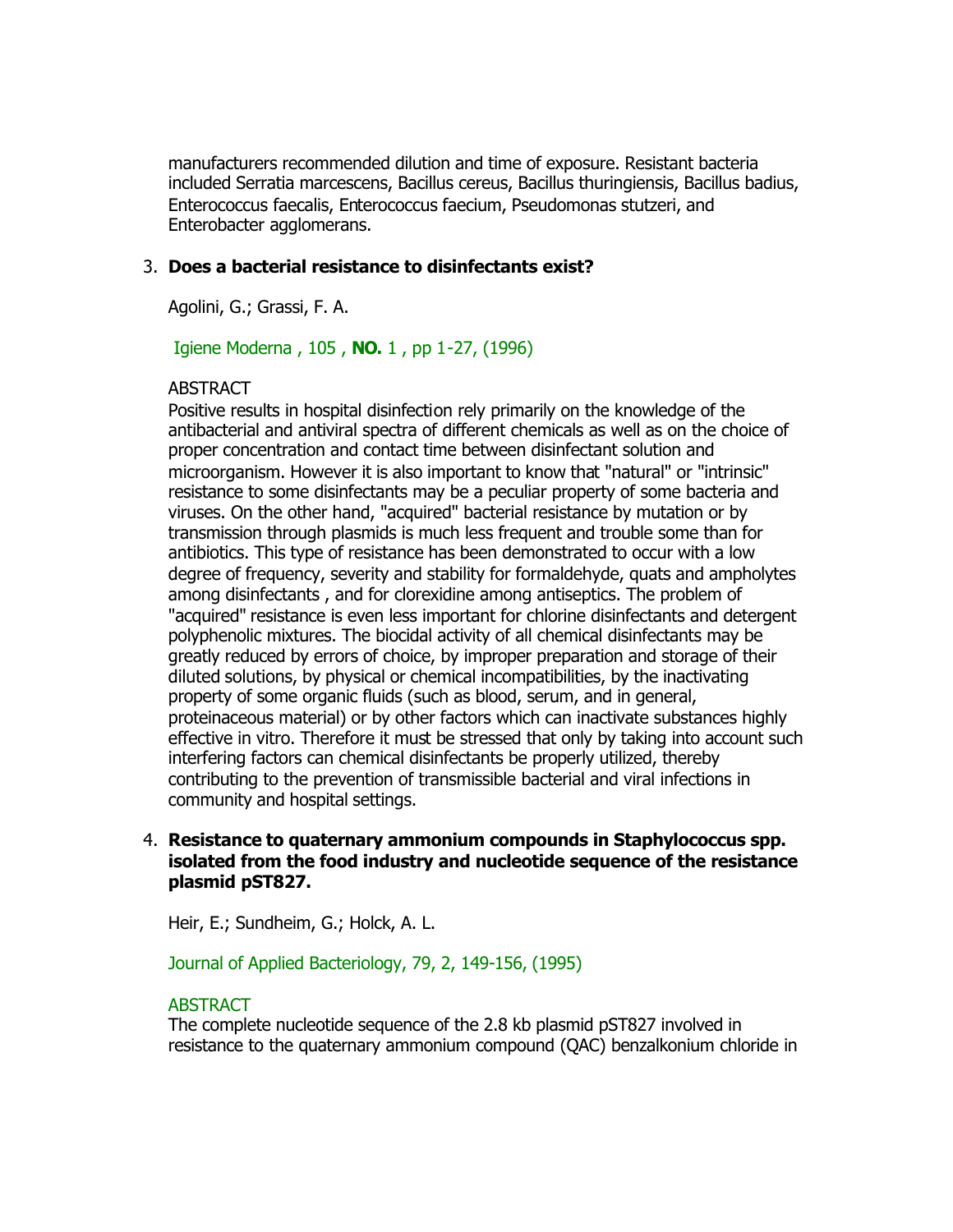manufacturers recommended dilution and time of exposure. Resistant bacteria included Serratia marcescens, Bacillus cereus, Bacillus thuringiensis, Bacillus badius, Enterococcus faecalis, Enterococcus faecium, Pseudomonas stutzeri, and Enterobacter agglomerans.

# 3. **Does a bacterial resistance to disinfectants exist?**

Agolini, G.; Grassi, F. A.

Igiene Moderna , 105 , **NO.** 1 , pp 1-27, (1996)

### **ABSTRACT**

Positive results in hospital disinfection rely primarily on the knowledge of the antibacterial and antiviral spectra of different chemicals as well as on the choice of proper concentration and contact time between disinfectant solution and microorganism. However it is also important to know that "natural" or "intrinsic" resistance to some disinfectants may be a peculiar property of some bacteria and viruses. On the other hand, "acquired" bacterial resistance by mutation or by transmission through plasmids is much less frequent and trouble some than for antibiotics. This type of resistance has been demonstrated to occur with a low degree of frequency, severity and stability for formaldehyde, quats and ampholytes among disinfectants , and for clorexidine among antiseptics. The problem of "acquired" resistance is even less important for chlorine disinfectants and detergent polyphenolic mixtures. The biocidal activity of all chemical disinfectants may be greatly reduced by errors of choice, by improper preparation and storage of their diluted solutions, by physical or chemical incompatibilities, by the inactivating property of some organic fluids (such as blood, serum, and in general, proteinaceous material) or by other factors which can inactivate substances highly effective in vitro. Therefore it must be stressed that only by taking into account such interfering factors can chemical disinfectants be properly utilized, thereby contributing to the prevention of transmissible bacterial and viral infections in community and hospital settings.

# 4. **Resistance to quaternary ammonium compounds in Staphylococcus spp. isolated from the food industry and nucleotide sequence of the resistance plasmid pST827.**

Heir, E.; Sundheim, G.; Holck, A. L.

### Journal of Applied Bacteriology, 79, 2, 149-156, (1995)

# ABSTRACT

The complete nucleotide sequence of the 2.8 kb plasmid pST827 involved in resistance to the quaternary ammonium compound (QAC) benzalkonium chloride in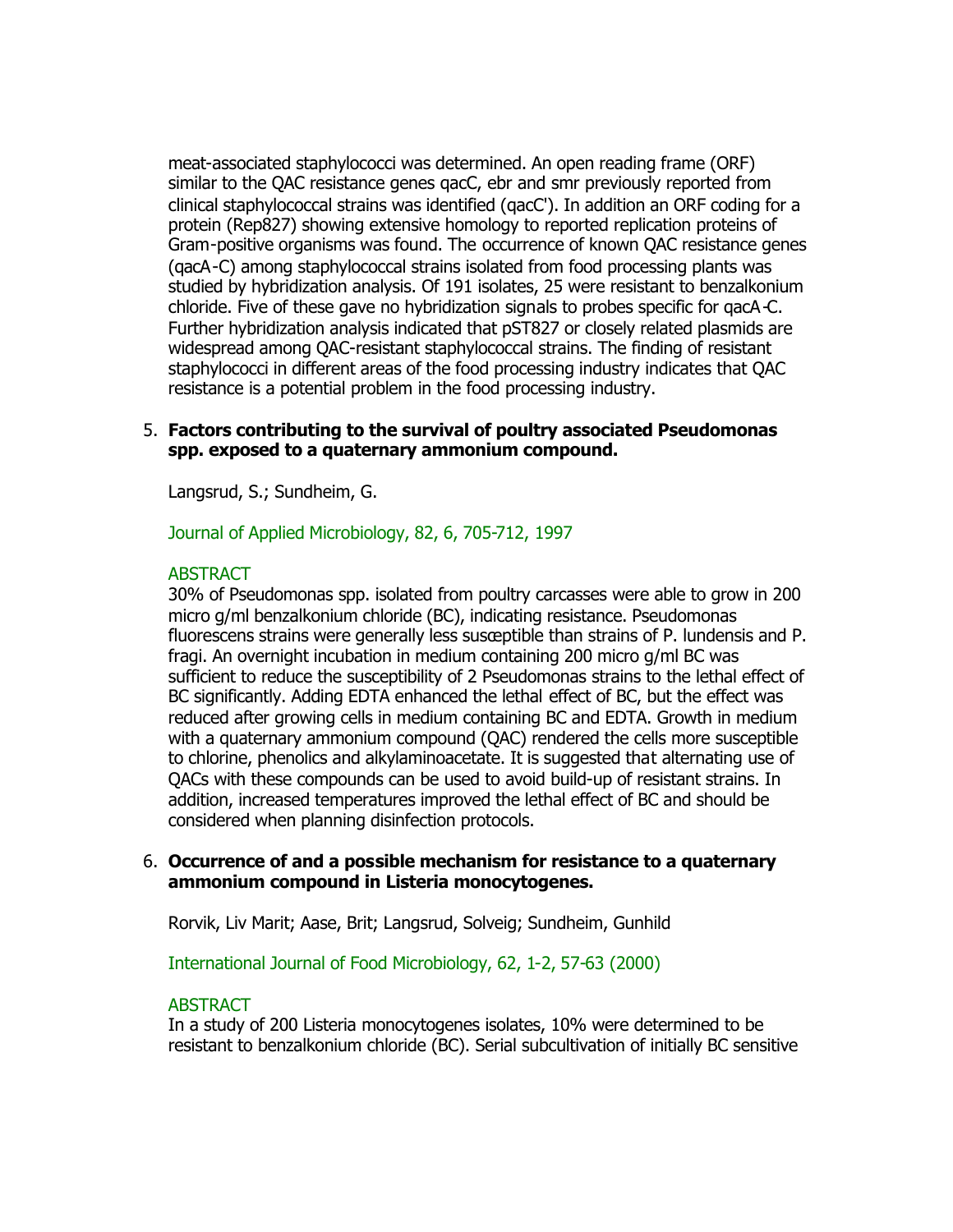meat-associated staphylococci was determined. An open reading frame (ORF) similar to the QAC resistance genes qacC, ebr and smr previously reported from clinical staphylococcal strains was identified (qacC'). In addition an ORF coding for a protein (Rep827) showing extensive homology to reported replication proteins of Gram-positive organisms was found. The occurrence of known QAC resistance genes (qacA-C) among staphylococcal strains isolated from food processing plants was studied by hybridization analysis. Of 191 isolates, 25 were resistant to benzalkonium chloride. Five of these gave no hybridization signals to probes specific for qacA-C. Further hybridization analysis indicated that pST827 or closely related plasmids are widespread among QAC-resistant staphylococcal strains. The finding of resistant staphylococci in different areas of the food processing industry indicates that QAC resistance is a potential problem in the food processing industry.

## 5. **Factors contributing to the survival of poultry associated Pseudomonas spp. exposed to a quaternary ammonium compound.**

Langsrud, S.; Sundheim, G.

Journal of Applied Microbiology, 82, 6, 705-712, 1997

# **ABSTRACT**

30% of Pseudomonas spp. isolated from poultry carcasses were able to grow in 200 micro g/ml benzalkonium chloride (BC), indicating resistance. Pseudomonas fluorescens strains were generally less susceptible than strains of P. lundensis and P. fragi. An overnight incubation in medium containing 200 micro g/ml BC was sufficient to reduce the susceptibility of 2 Pseudomonas strains to the lethal effect of BC significantly. Adding EDTA enhanced the lethal effect of BC, but the effect was reduced after growing cells in medium containing BC and EDTA. Growth in medium with a quaternary ammonium compound (QAC) rendered the cells more susceptible to chlorine, phenolics and alkylaminoacetate. It is suggested that alternating use of QACs with these compounds can be used to avoid build-up of resistant strains. In addition, increased temperatures improved the lethal effect of BC and should be considered when planning disinfection protocols.

### 6. **Occurrence of and a possible mechanism for resistance to a quaternary ammonium compound in Listeria monocytogenes.**

Rorvik, Liv Marit; Aase, Brit; Langsrud, Solveig; Sundheim, Gunhild

International Journal of Food Microbiology, 62, 1-2, 57-63 (2000)

### ABSTRACT

In a study of 200 Listeria monocytogenes isolates, 10% were determined to be resistant to benzalkonium chloride (BC). Serial subcultivation of initially BC sensitive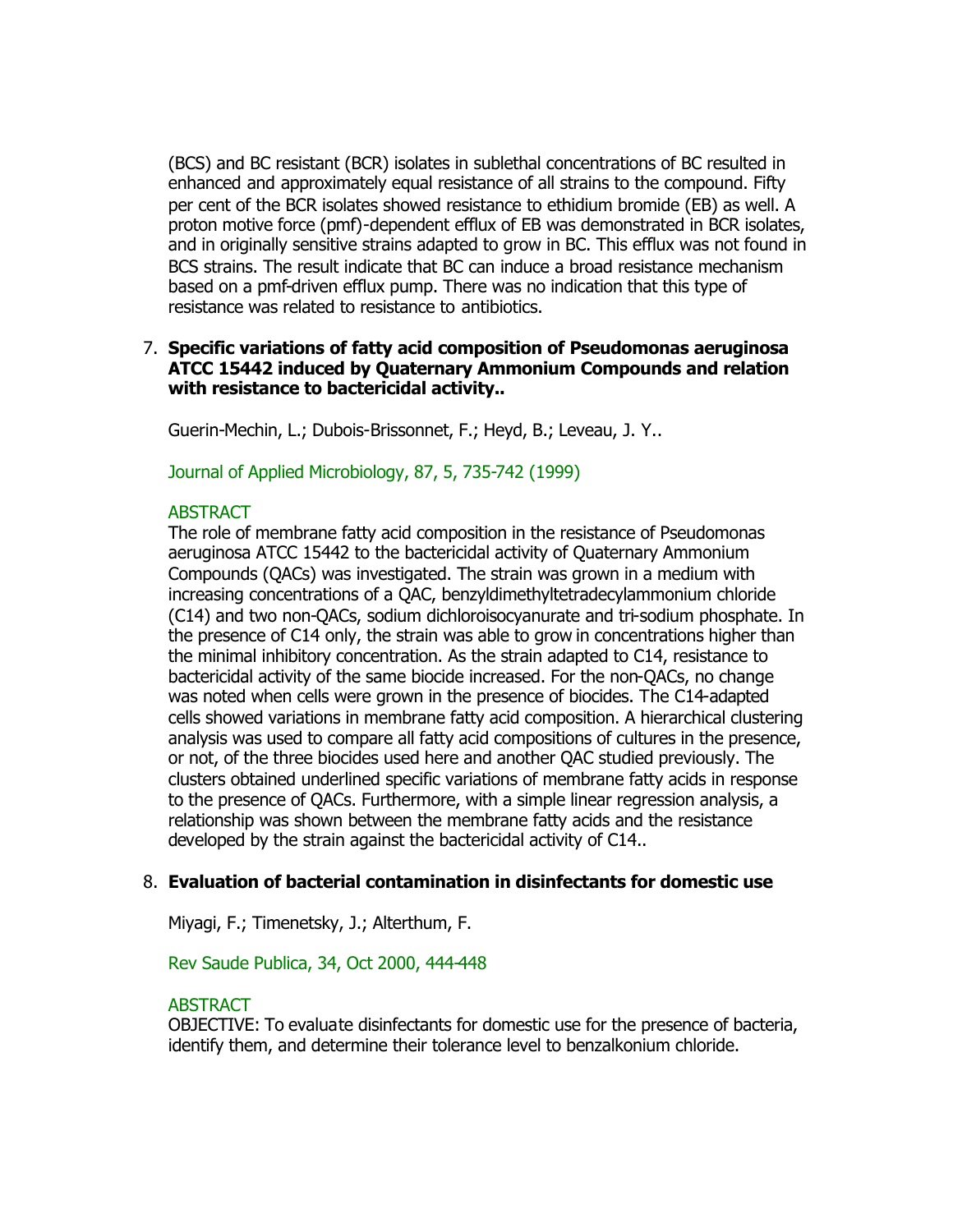(BCS) and BC resistant (BCR) isolates in sublethal concentrations of BC resulted in enhanced and approximately equal resistance of all strains to the compound. Fifty per cent of the BCR isolates showed resistance to ethidium bromide (EB) as well. A proton motive force (pmf)-dependent efflux of EB was demonstrated in BCR isolates, and in originally sensitive strains adapted to grow in BC. This efflux was not found in BCS strains. The result indicate that BC can induce a broad resistance mechanism based on a pmf-driven efflux pump. There was no indication that this type of resistance was related to resistance to antibiotics.

# 7. **Specific variations of fatty acid composition of Pseudomonas aeruginosa ATCC 15442 induced by Quaternary Ammonium Compounds and relation with resistance to bactericidal activity..**

Guerin-Mechin, L.; Dubois-Brissonnet, F.; Heyd, B.; Leveau, J. Y..

Journal of Applied Microbiology, 87, 5, 735-742 (1999)

### **ABSTRACT**

The role of membrane fatty acid composition in the resistance of Pseudomonas aeruginosa ATCC 15442 to the bactericidal activity of Quaternary Ammonium Compounds (QACs) was investigated. The strain was grown in a medium with increasing concentrations of a QAC, benzyldimethyltetradecylammonium chloride (C14) and two non-QACs, sodium dichloroisocyanurate and tri-sodium phosphate. In the presence of C14 only, the strain was able to grow in concentrations higher than the minimal inhibitory concentration. As the strain adapted to C14, resistance to bactericidal activity of the same biocide increased. For the non-QACs, no change was noted when cells were grown in the presence of biocides. The C14-adapted cells showed variations in membrane fatty acid composition. A hierarchical clustering analysis was used to compare all fatty acid compositions of cultures in the presence, or not, of the three biocides used here and another QAC studied previously. The clusters obtained underlined specific variations of membrane fatty acids in response to the presence of QACs. Furthermore, with a simple linear regression analysis, a relationship was shown between the membrane fatty acids and the resistance developed by the strain against the bactericidal activity of C14..

# 8. **Evaluation of bacterial contamination in disinfectants for domestic use**

Miyagi, F.; Timenetsky, J.; Alterthum, F.

### Rev Saude Publica, 34, Oct 2000, 444-448

### ABSTRACT

OBJECTIVE: To evaluate disinfectants for domestic use for the presence of bacteria, identify them, and determine their tolerance level to benzalkonium chloride.